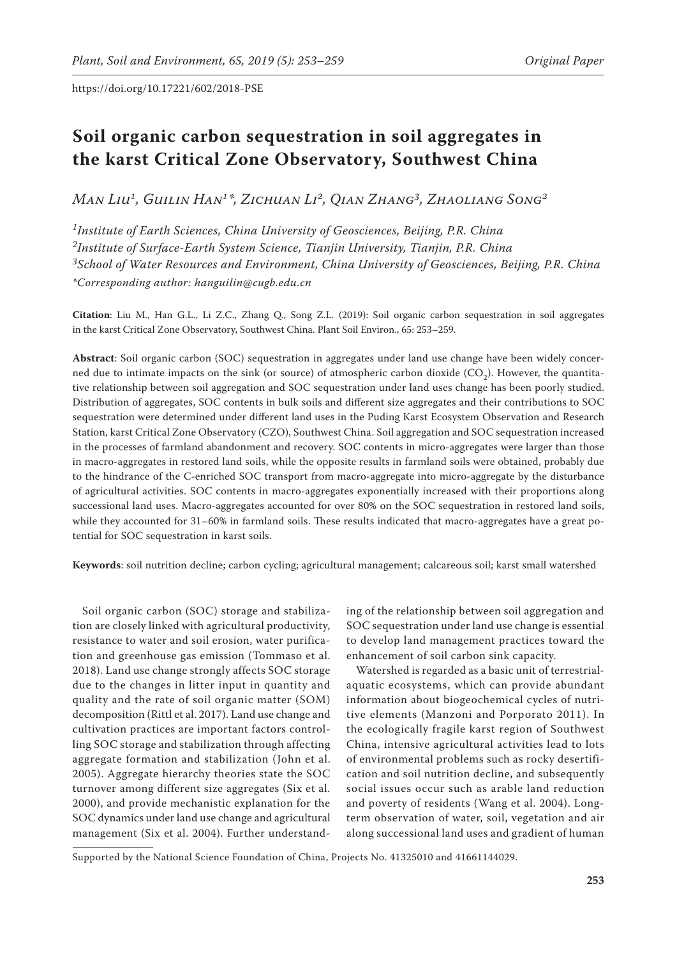# **Soil organic carbon sequestration in soil aggregates in the karst Critical Zone Observatory, Southwest China**

*Man Liu1, Guilin Han1\*, Zichuan Li2, Qian Zhang3, Zhaoliang Song2*

*1Institute of Earth Sciences, China University of Geosciences, Beijing, P.R. China 2Institute of Surface-Earth System Science, Tianjin University, Tianjin, P.R. China 3School of Water Resources and Environment, China University of Geosciences, Beijing, P.R. China \*Corresponding author: hanguilin@cugb.edu.cn*

**Citation**: Liu M., Han G.L., Li Z.C., Zhang Q., Song Z.L. (2019): Soil organic carbon sequestration in soil aggregates in the karst Critical Zone Observatory, Southwest China. Plant Soil Environ., 65: 253–259.

**Abstract**: Soil organic carbon (SOC) sequestration in aggregates under land use change have been widely concerned due to intimate impacts on the sink (or source) of atmospheric carbon dioxide  $(CO<sub>2</sub>)$ . However, the quantitative relationship between soil aggregation and SOC sequestration under land uses change has been poorly studied. Distribution of aggregates, SOC contents in bulk soils and different size aggregates and their contributions to SOC sequestration were determined under different land uses in the Puding Karst Ecosystem Observation and Research Station, karst Critical Zone Observatory (CZO), Southwest China. Soil aggregation and SOC sequestration increased in the processes of farmland abandonment and recovery. SOC contents in micro-aggregates were larger than those in macro-aggregates in restored land soils, while the opposite results in farmland soils were obtained, probably due to the hindrance of the C-enriched SOC transport from macro-aggregate into micro-aggregate by the disturbance of agricultural activities. SOC contents in macro-aggregates exponentially increased with their proportions along successional land uses. Macro-aggregates accounted for over 80% on the SOC sequestration in restored land soils, while they accounted for 31–60% in farmland soils. These results indicated that macro-aggregates have a great potential for SOC sequestration in karst soils.

**Keywords**: soil nutrition decline; carbon cycling; agricultural management; calcareous soil; karst small watershed

Soil organic carbon (SOC) storage and stabilization are closely linked with agricultural productivity, resistance to water and soil erosion, water purification and greenhouse gas emission (Tommaso et al. 2018). Land use change strongly affects SOC storage due to the changes in litter input in quantity and quality and the rate of soil organic matter (SOM) decomposition (Rittl et al. 2017). Land use change and cultivation practices are important factors controlling SOC storage and stabilization through affecting aggregate formation and stabilization (John et al. 2005). Aggregate hierarchy theories state the SOC turnover among different size aggregates (Six et al. 2000), and provide mechanistic explanation for the SOC dynamics under land use change and agricultural management (Six et al. 2004). Further understand-

ing of the relationship between soil aggregation and SOC sequestration under land use change is essential to develop land management practices toward the enhancement of soil carbon sink capacity.

Watershed is regarded as a basic unit of terrestrialaquatic ecosystems, which can provide abundant information about biogeochemical cycles of nutritive elements (Manzoni and Porporato 2011). In the ecologically fragile karst region of Southwest China, intensive agricultural activities lead to lots of environmental problems such as rocky desertification and soil nutrition decline, and subsequently social issues occur such as arable land reduction and poverty of residents (Wang et al. 2004). Longterm observation of water, soil, vegetation and air along successional land uses and gradient of human

Supported by the National Science Foundation of China, Projects No. 41325010 and 41661144029.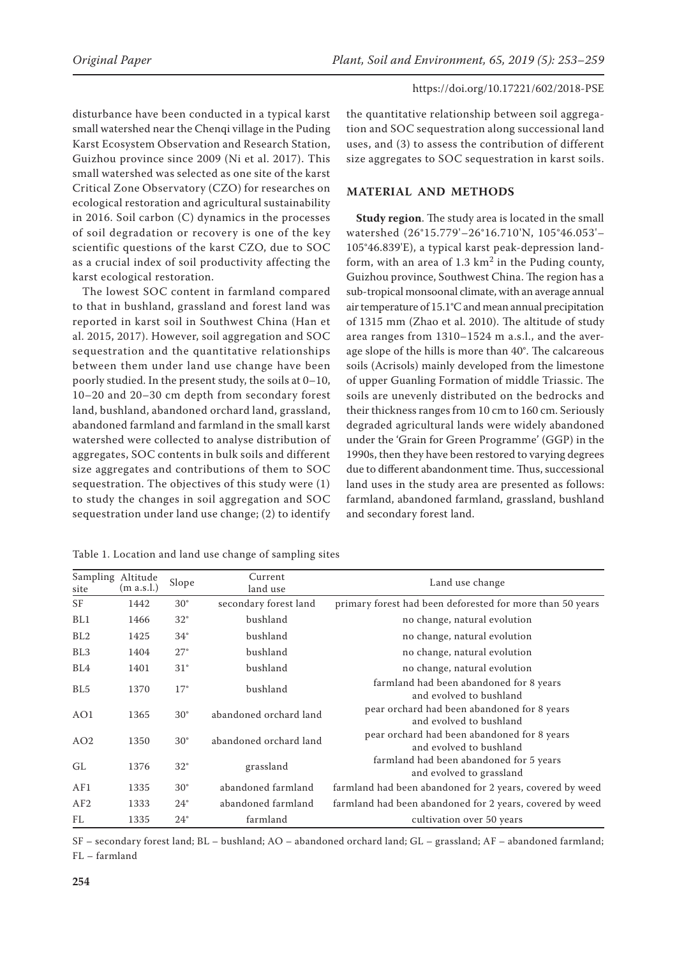disturbance have been conducted in a typical karst small watershed near the Chenqi village in the Puding Karst Ecosystem Observation and Research Station, Guizhou province since 2009 (Ni et al. 2017). This small watershed was selected as one site of the karst Critical Zone Observatory (CZO) for researches on ecological restoration and agricultural sustainability in 2016. Soil carbon (C) dynamics in the processes of soil degradation or recovery is one of the key scientific questions of the karst CZO, due to SOC as a crucial index of soil productivity affecting the karst ecological restoration.

The lowest SOC content in farmland compared to that in bushland, grassland and forest land was reported in karst soil in Southwest China (Han et al. 2015, 2017). However, soil aggregation and SOC sequestration and the quantitative relationships between them under land use change have been poorly studied. In the present study, the soils at 0–10, 10–20 and 20–30 cm depth from secondary forest land, bushland, abandoned orchard land, grassland, abandoned farmland and farmland in the small karst watershed were collected to analyse distribution of aggregates, SOC contents in bulk soils and different size aggregates and contributions of them to SOC sequestration. The objectives of this study were (1) to study the changes in soil aggregation and SOC sequestration under land use change; (2) to identify

the quantitative relationship between soil aggregation and SOC sequestration along successional land uses, and (3) to assess the contribution of different size aggregates to SOC sequestration in karst soils.

## **MATERIAL AND METHODS**

**Study region**. The study area is located in the small watershed (26°15.779'–26°16.710'N, 105°46.053'– 105°46.839'E), a typical karst peak-depression landform, with an area of  $1.3 \text{ km}^2$  in the Puding county, Guizhou province, Southwest China. The region has a sub-tropical monsoonal climate, with an average annual air temperature of 15.1°C and mean annual precipitation of 1315 mm (Zhao et al. 2010). The altitude of study area ranges from 1310–1524 m a.s.l., and the average slope of the hills is more than 40°. The calcareous soils (Acrisols) mainly developed from the limestone of upper Guanling Formation of middle Triassic. The soils are unevenly distributed on the bedrocks and their thickness ranges from 10 cm to 160 cm. Seriously degraded agricultural lands were widely abandoned under the 'Grain for Green Programme' (GGP) in the 1990s, then they have been restored to varying degrees due to different abandonment time. Thus, successional land uses in the study area are presented as follows: farmland, abandoned farmland, grassland, bushland and secondary forest land.

| Sampling<br>site | Altitude<br>(m a.s.l.) | Slope        | Current<br>land use    | Land use change                                                        |  |
|------------------|------------------------|--------------|------------------------|------------------------------------------------------------------------|--|
| SF               | 1442                   | $30^{\circ}$ | secondary forest land  | primary forest had been deforested for more than 50 years              |  |
| BL1              | 1466                   | $32^{\circ}$ | bushland               | no change, natural evolution                                           |  |
| BL2              | 1425                   | $34^\circ$   | bushland               | no change, natural evolution                                           |  |
| BL <sub>3</sub>  | 1404                   | $27^\circ$   | bushland               | no change, natural evolution                                           |  |
| BL4              | 1401                   | $31^\circ$   | bushland               | no change, natural evolution                                           |  |
| BL <sub>5</sub>  | 1370                   | $17^{\circ}$ | bushland               | farmland had been abandoned for 8 years<br>and evolved to bushland     |  |
| AO1              | 1365                   | $30^{\circ}$ | abandoned orchard land | pear orchard had been abandoned for 8 years<br>and evolved to bushland |  |
| AO2              | 1350                   | $30^{\circ}$ | abandoned orchard land | pear orchard had been abandoned for 8 years<br>and evolved to bushland |  |
| GL               | 1376                   | $32^{\circ}$ | grassland              | farmland had been abandoned for 5 years<br>and evolved to grassland    |  |
| AF1              | 1335                   | $30^{\circ}$ | abandoned farmland     | farmland had been abandoned for 2 years, covered by weed               |  |
| AF2              | 1333                   | $24^{\circ}$ | abandoned farmland     | farmland had been abandoned for 2 years, covered by weed               |  |
| <b>FL</b>        | 1335                   | $24^{\circ}$ | farmland               | cultivation over 50 years                                              |  |

Table 1. Location and land use change of sampling sites

SF – secondary forest land; BL – bushland; AO – abandoned orchard land; GL – grassland; AF – abandoned farmland;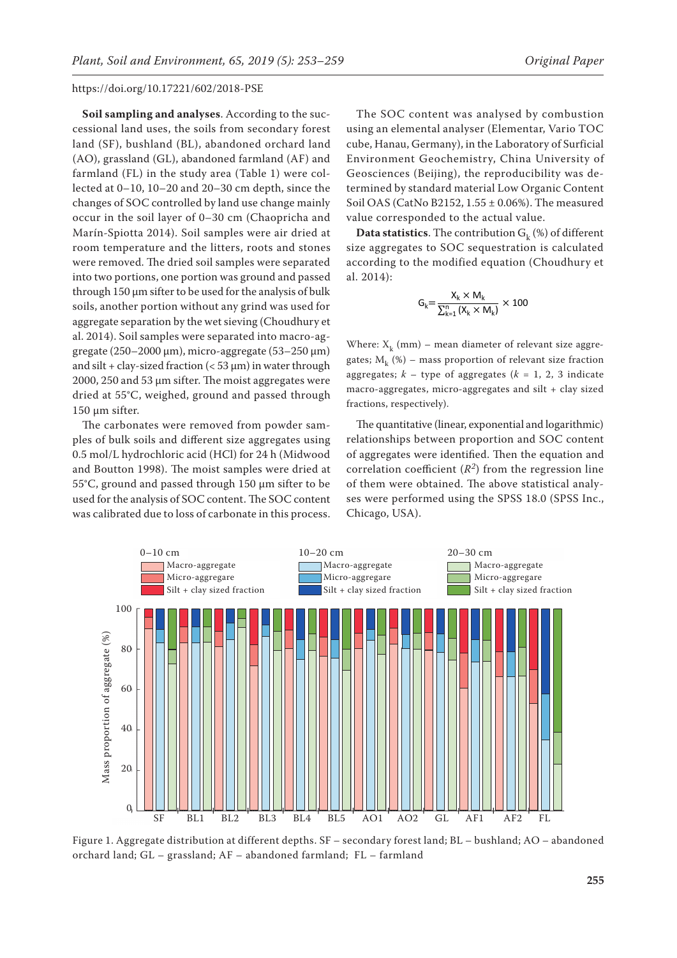**Soil sampling and analyses**. According to the successional land uses, the soils from secondary forest land (SF), bushland (BL), abandoned orchard land (AO), grassland (GL), abandoned farmland (AF) and farmland (FL) in the study area (Table 1) were collected at 0–10, 10–20 and 20–30 cm depth, since the changes of SOC controlled by land use change mainly occur in the soil layer of 0–30 cm (Chaopricha and Marín-Spiotta 2014). Soil samples were air dried at room temperature and the litters, roots and stones were removed. The dried soil samples were separated into two portions, one portion was ground and passed through 150 μm sifter to be used for the analysis of bulk soils, another portion without any grind was used for aggregate separation by the wet sieving (Choudhury et al. 2014). Soil samples were separated into macro-aggregate  $(250-2000 \,\mu m)$ , micro-aggregate  $(53-250 \,\mu m)$ and silt + clay-sized fraction  $(< 53 \,\mu m$ ) in water through 2000, 250 and 53 μm sifter. The moist aggregates were dried at 55°C, weighed, ground and passed through 150 μm sifter.

The carbonates were removed from powder samples of bulk soils and different size aggregates using 0.5 mol/L hydrochloric acid (HCl) for 24 h (Midwood and Boutton 1998). The moist samples were dried at 55°C, ground and passed through 150 μm sifter to be used for the analysis of SOC content. The SOC content was calibrated due to loss of carbonate in this process.

The SOC content was analysed by combustion using an elemental analyser (Elementar, Vario TOC cube, Hanau, Germany), in the Laboratory of Surficial Environment Geochemistry, China University of Geosciences (Beijing), the reproducibility was determined by standard material Low Organic Content Soil OAS (CatNo B2152, 1.55 ± 0.06%). The measured value corresponded to the actual value.

**Data statistics**. The contribution  $G_k$  (%) of different size aggregates to SOC sequestration is calculated according to the modified equation (Choudhury et al. 2014):

$$
G_k{=}\frac{X_k\times M_k}{\sum_{k=1}^n\left(X_k\times M_k\right)}\times 100
$$

Where:  $X_k$  (mm) – mean diameter of relevant size aggregates;  $M_k$  (%) – mass proportion of relevant size fraction aggregates;  $k -$  type of aggregates ( $k = 1, 2, 3$  indicate macro-aggregates, micro-aggregates and silt + clay sized fractions, respectively).

The quantitative (linear, exponential and logarithmic) relationships between proportion and SOC content of aggregates were identified. Then the equation and correlation coefficient  $(R^2)$  from the regression line of them were obtained. The above statistical analyses were performed using the SPSS 18.0 (SPSS Inc., Chicago, USA).



Figure 1. Aggregate distribution at different depths. SF – secondary forest land; BL – bushland; AO – abandoned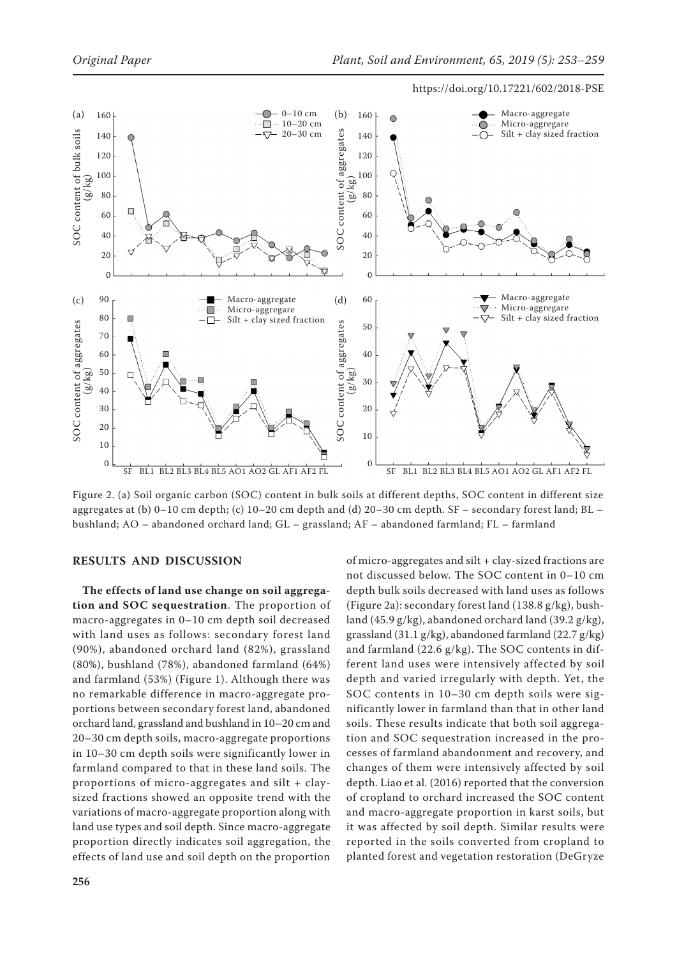

Figure 2. (a) Soil organic carbon (SOC) content in bulk soils at different depths, SOC content in different size aggregates at (b) 0–10 cm depth; (c) 10–20 cm depth and (d) 20–30 cm depth. SF – secondary forest land; BL – bushland; AO – abandoned orchard land; GL – grassland; AF – abandoned farmland; FL – farmland

## **RESULTS AND DISCUSSION**

**The effects of land use change on soil aggregation and SOC sequestration**. The proportion of macro-aggregates in 0–10 cm depth soil decreased with land uses as follows: secondary forest land (90%), abandoned orchard land (82%), grassland (80%), bushland (78%), abandoned farmland (64%) and farmland (53%) (Figure 1). Although there was no remarkable difference in macro-aggregate proportions between secondary forest land, abandoned orchard land, grassland and bushland in 10–20 cm and 20–30 cm depth soils, macro-aggregate proportions in 10–30 cm depth soils were significantly lower in farmland compared to that in these land soils. The proportions of micro-aggregates and silt + claysized fractions showed an opposite trend with the variations of macro-aggregate proportion along with land use types and soil depth. Since macro-aggregate proportion directly indicates soil aggregation, the effects of land use and soil depth on the proportion of micro-aggregates and silt + clay-sized fractions are not discussed below. The SOC content in 0–10 cm depth bulk soils decreased with land uses as follows (Figure 2a): secondary forest land (138.8 g/kg), bushland (45.9 g/kg), abandoned orchard land (39.2 g/kg), grassland (31.1 g/kg), abandoned farmland (22.7 g/kg) and farmland (22.6 g/kg). The SOC contents in different land uses were intensively affected by soil depth and varied irregularly with depth. Yet, the SOC contents in 10–30 cm depth soils were significantly lower in farmland than that in other land soils. These results indicate that both soil aggregation and SOC sequestration increased in the processes of farmland abandonment and recovery, and changes of them were intensively affected by soil depth. Liao et al. (2016) reported that the conversion of cropland to orchard increased the SOC content and macro-aggregate proportion in karst soils, but it was affected by soil depth. Similar results were reported in the soils converted from cropland to planted forest and vegetation restoration (DeGryze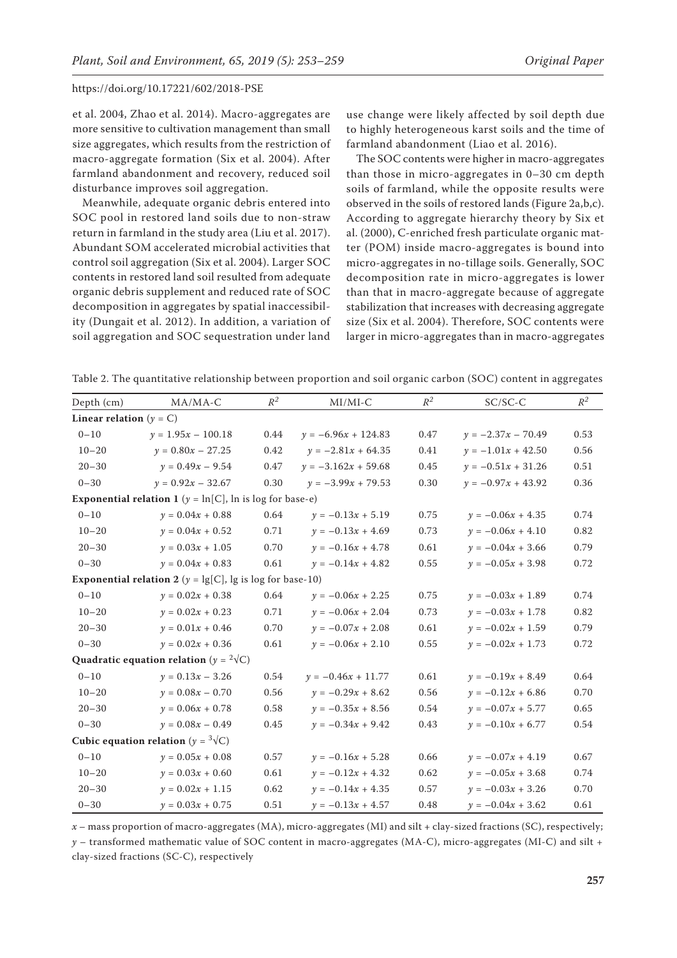et al. 2004, Zhao et al. 2014). Macro-aggregates are more sensitive to cultivation management than small size aggregates, which results from the restriction of macro-aggregate formation (Six et al. 2004). After farmland abandonment and recovery, reduced soil disturbance improves soil aggregation.

Meanwhile, adequate organic debris entered into SOC pool in restored land soils due to non-straw return in farmland in the study area (Liu et al. 2017). Abundant SOM accelerated microbial activities that control soil aggregation (Six et al. 2004). Larger SOC contents in restored land soil resulted from adequate organic debris supplement and reduced rate of SOC decomposition in aggregates by spatial inaccessibility (Dungait et al. 2012). In addition, a variation of soil aggregation and SOC sequestration under land

use change were likely affected by soil depth due to highly heterogeneous karst soils and the time of farmland abandonment (Liao et al. 2016).

The SOC contents were higher in macro-aggregates than those in micro-aggregates in 0–30 cm depth soils of farmland, while the opposite results were observed in the soils of restored lands (Figure 2a,b,c). According to aggregate hierarchy theory by Six et al. (2000), C-enriched fresh particulate organic matter (POM) inside macro-aggregates is bound into micro-aggregates in no-tillage soils. Generally, SOC decomposition rate in micro-aggregates is lower than that in macro-aggregate because of aggregate stabilization that increases with decreasing aggregate size (Six et al. 2004). Therefore, SOC contents were larger in micro-aggregates than in macro-aggregates

Table 2. The quantitative relationship between proportion and soil organic carbon (SOC) content in aggregates

| Depth (cm)                                                              | $MA/MA-C$            | $R^2$ | $MI/MI-C$             | $R^2$ | $SC/SC-C$            | $R^2$ |  |  |  |  |
|-------------------------------------------------------------------------|----------------------|-------|-----------------------|-------|----------------------|-------|--|--|--|--|
| Linear relation ( $y = C$ )                                             |                      |       |                       |       |                      |       |  |  |  |  |
| $0 - 10$                                                                | $y = 1.95x - 100.18$ | 0.44  | $y = -6.96x + 124.83$ | 0.47  | $y = -2.37x - 70.49$ | 0.53  |  |  |  |  |
| $10 - 20$                                                               | $y = 0.80x - 27.25$  | 0.42  | $y = -2.81x + 64.35$  | 0.41  | $y = -1.01x + 42.50$ | 0.56  |  |  |  |  |
| $20 - 30$                                                               | $y = 0.49x - 9.54$   | 0.47  | $y = -3.162x + 59.68$ | 0.45  | $y = -0.51x + 31.26$ | 0.51  |  |  |  |  |
| $0 - 30$                                                                | $y = 0.92x - 32.67$  | 0.30  | $y = -3.99x + 79.53$  | 0.30  | $y = -0.97x + 43.92$ | 0.36  |  |  |  |  |
| <b>Exponential relation 1</b> ( $y = \ln[C]$ , $\ln$ is log for base-e) |                      |       |                       |       |                      |       |  |  |  |  |
| $0 - 10$                                                                | $y = 0.04x + 0.88$   | 0.64  | $y = -0.13x + 5.19$   | 0.75  | $y = -0.06x + 4.35$  | 0.74  |  |  |  |  |
| $10 - 20$                                                               | $y = 0.04x + 0.52$   | 0.71  | $y = -0.13x + 4.69$   | 0.73  | $y = -0.06x + 4.10$  | 0.82  |  |  |  |  |
| $20 - 30$                                                               | $y = 0.03x + 1.05$   | 0.70  | $y = -0.16x + 4.78$   | 0.61  | $y = -0.04x + 3.66$  | 0.79  |  |  |  |  |
| $0 - 30$                                                                | $y = 0.04x + 0.83$   | 0.61  | $y = -0.14x + 4.82$   | 0.55  | $y = -0.05x + 3.98$  | 0.72  |  |  |  |  |
| <b>Exponential relation 2</b> ( $y = \lg[C]$ , lg is log for base-10)   |                      |       |                       |       |                      |       |  |  |  |  |
| $0 - 10$                                                                | $y = 0.02x + 0.38$   | 0.64  | $y = -0.06x + 2.25$   | 0.75  | $y = -0.03x + 1.89$  | 0.74  |  |  |  |  |
| $10 - 20$                                                               | $y = 0.02x + 0.23$   | 0.71  | $y = -0.06x + 2.04$   | 0.73  | $y = -0.03x + 1.78$  | 0.82  |  |  |  |  |
| $20 - 30$                                                               | $y = 0.01x + 0.46$   | 0.70  | $y = -0.07x + 2.08$   | 0.61  | $y = -0.02x + 1.59$  | 0.79  |  |  |  |  |
| $0 - 30$                                                                | $y = 0.02x + 0.36$   | 0.61  | $y = -0.06x + 2.10$   | 0.55  | $y = -0.02x + 1.73$  | 0.72  |  |  |  |  |
| Quadratic equation relation $(y = 2\sqrt{C})$                           |                      |       |                       |       |                      |       |  |  |  |  |
| $0 - 10$                                                                | $y = 0.13x - 3.26$   | 0.54  | $y = -0.46x + 11.77$  | 0.61  | $y = -0.19x + 8.49$  | 0.64  |  |  |  |  |
| $10 - 20$                                                               | $y = 0.08x - 0.70$   | 0.56  | $y = -0.29x + 8.62$   | 0.56  | $y = -0.12x + 6.86$  | 0.70  |  |  |  |  |
| $20 - 30$                                                               | $y = 0.06x + 0.78$   | 0.58  | $y = -0.35x + 8.56$   | 0.54  | $y = -0.07x + 5.77$  | 0.65  |  |  |  |  |
| $0 - 30$                                                                | $y = 0.08x - 0.49$   | 0.45  | $y = -0.34x + 9.42$   | 0.43  | $y = -0.10x + 6.77$  | 0.54  |  |  |  |  |
| Cubic equation relation ( $y = \sqrt[3]{C}$ )                           |                      |       |                       |       |                      |       |  |  |  |  |
| $0 - 10$                                                                | $y = 0.05x + 0.08$   | 0.57  | $y = -0.16x + 5.28$   | 0.66  | $y = -0.07x + 4.19$  | 0.67  |  |  |  |  |
| $10 - 20$                                                               | $y = 0.03x + 0.60$   | 0.61  | $y = -0.12x + 4.32$   | 0.62  | $y = -0.05x + 3.68$  | 0.74  |  |  |  |  |
| $20 - 30$                                                               | $y = 0.02x + 1.15$   | 0.62  | $y = -0.14x + 4.35$   | 0.57  | $y = -0.03x + 3.26$  | 0.70  |  |  |  |  |
| $0 - 30$                                                                | $y = 0.03x + 0.75$   | 0.51  | $y = -0.13x + 4.57$   | 0.48  | $y = -0.04x + 3.62$  | 0.61  |  |  |  |  |

*x* – mass proportion of macro-aggregates (MA), micro-aggregates (MI) and silt + clay-sized fractions (SC), respectively; *y* – transformed mathematic value of SOC content in macro-aggregates (MA-C), micro-aggregates (MI-C) and silt + clay-sized fractions (SC-C), respectively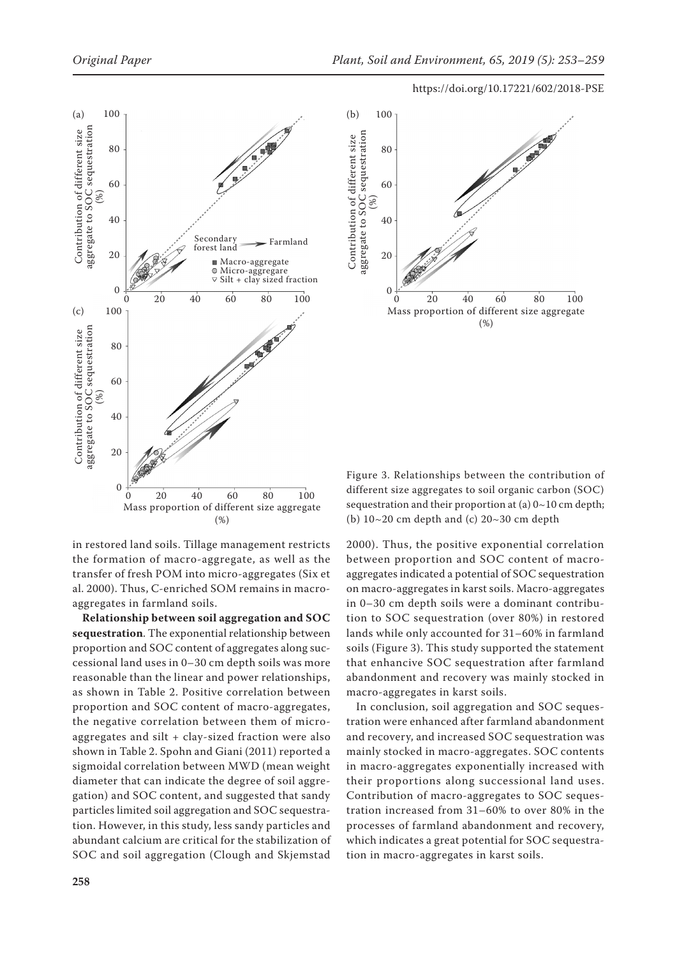



in restored land soils. Tillage management restricts the formation of macro-aggregate, as well as the transfer of fresh POM into micro-aggregates (Six et al. 2000). Thus, C-enriched SOM remains in macro-

aggregates in farmland soils. **Relationship between soil aggregation and SOC sequestration**. The exponential relationship between proportion and SOC content of aggregates along successional land uses in 0–30 cm depth soils was more reasonable than the linear and power relationships, as shown in Table 2. Positive correlation between proportion and SOC content of macro-aggregates, the negative correlation between them of microaggregates and silt + clay-sized fraction were also shown in Table 2. Spohn and Giani (2011) reported a sigmoidal correlation between MWD (mean weight diameter that can indicate the degree of soil aggregation) and SOC content, and suggested that sandy particles limited soil aggregation and SOC sequestration. However, in this study, less sandy particles and abundant calcium are critical for the stabilization of SOC and soil aggregation (Clough and Skjemstad

Figure 3. Relationships between the contribution of different size aggregates to soil organic carbon (SOC) sequestration and their proportion at (a)  $0 \sim 10$  cm depth; (b)  $10~20$  cm depth and (c)  $20~30$  cm depth

2000). Thus, the positive exponential correlation between proportion and SOC content of macroaggregates indicated a potential of SOC sequestration on macro-aggregates in karst soils. Macro-aggregates in 0–30 cm depth soils were a dominant contribution to SOC sequestration (over 80%) in restored lands while only accounted for 31–60% in farmland soils (Figure 3). This study supported the statement that enhancive SOC sequestration after farmland abandonment and recovery was mainly stocked in macro-aggregates in karst soils.

In conclusion, soil aggregation and SOC sequestration were enhanced after farmland abandonment and recovery, and increased SOC sequestration was mainly stocked in macro-aggregates. SOC contents in macro-aggregates exponentially increased with their proportions along successional land uses. Contribution of macro-aggregates to SOC sequestration increased from 31–60% to over 80% in the processes of farmland abandonment and recovery, which indicates a great potential for SOC sequestration in macro-aggregates in karst soils.